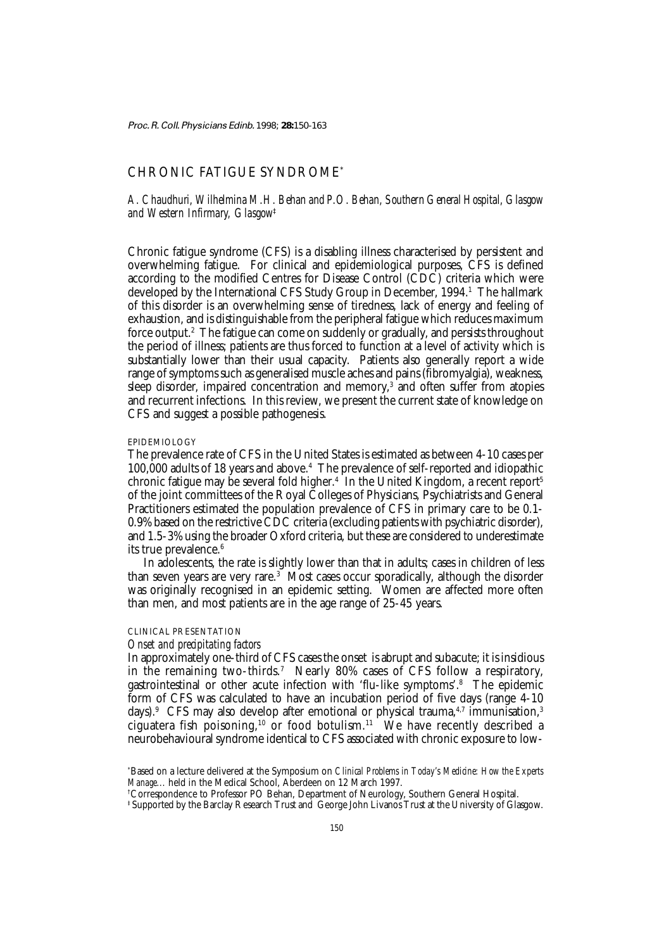Proc. R. Coll. Physicians Edinb. 1998; **28:**150-163

# CHRONIC FATIGUE SYNDROME\*

*A. Chaudhuri, Wilhelmina M.H. Behan and P.O. Behan, Southern General Hospital, Glasgow and Western Infirmary, Glasgow*‡

Chronic fatigue syndrome (CFS) is a disabling illness characterised by persistent and overwhelming fatigue. For clinical and epidemiological purposes, CFS is defined according to the modified Centres for Disease Control (CDC) criteria which were developed by the International CFS Study Group in December, 1994.<sup>1</sup> The hallmark of this disorder is an overwhelming sense of tiredness, lack of energy and feeling of exhaustion, and is distinguishable from the peripheral fatigue which reduces maximum force output.2 The fatigue can come on suddenly or gradually, and persists throughout the period of illness; patients are thus forced to function at a level of activity which is substantially lower than their usual capacity. Patients also generally report a wide range of symptoms such as generalised muscle aches and pains (fibromyalgia), weakness, sleep disorder, impaired concentration and memory,<sup>3</sup> and often suffer from atopies and recurrent infections. In this review, we present the current state of knowledge on CFS and suggest a possible pathogenesis.

## EPIDEMIOLOGY

The prevalence rate of CFS in the United States is estimated as between 4-10 cases per 100,000 adults of 18 years and above.4 The prevalence of self-reported and idiopathic chronic fatigue may be several fold higher.<sup>4</sup> In the United Kingdom, a recent report<sup>5</sup> of the joint committees of the Royal Colleges of Physicians, Psychiatrists and General Practitioners estimated the population prevalence of CFS in primary care to be 0.1- 0.9% based on the restrictive CDC criteria (excluding patients with psychiatric disorder), and 1.5-3% using the broader Oxford criteria, but these are considered to underestimate its true prevalence.<sup>6</sup>

In adolescents, the rate is slightly lower than that in adults; cases in children of less than seven years are very rare.3 Most cases occur sporadically, although the disorder was originally recognised in an epidemic setting. Women are affected more often than men, and most patients are in the age range of 25-45 years.

# CLINICAL PRESENTATION

# *Onset and precipitating factors*

In approximately one-third of CFS cases the onset is abrupt and subacute; it is insidious in the remaining two-thirds.7 Nearly 80% cases of CFS follow a respiratory, gastrointestinal or other acute infection with 'flu-like symptoms'.8 The epidemic form of CFS was calculated to have an incubation period of five days (range 4-10 days).<sup>9</sup> CFS may also develop after emotional or physical trauma,<sup>4,7</sup> immunisation,<sup>3</sup> ciguatera fish poisoning,<sup>10</sup> or food botulism.<sup>11</sup> We have recently described a neurobehavioural syndrome identical to CFS associated with chronic exposure to low-

<sup>\*</sup> Based on a lecture delivered at the Symposium on *Clinical Problems in Today's Medicine: How the Experts Manage...* held in the Medical School, Aberdeen on 12 March 1997.

<sup>†</sup> Correspondence to Professor PO Behan, Department of Neurology, Southern General Hospital.

<sup>‡</sup> Supported by the Barclay Research Trust and George John Livanos Trust at the University of Glasgow.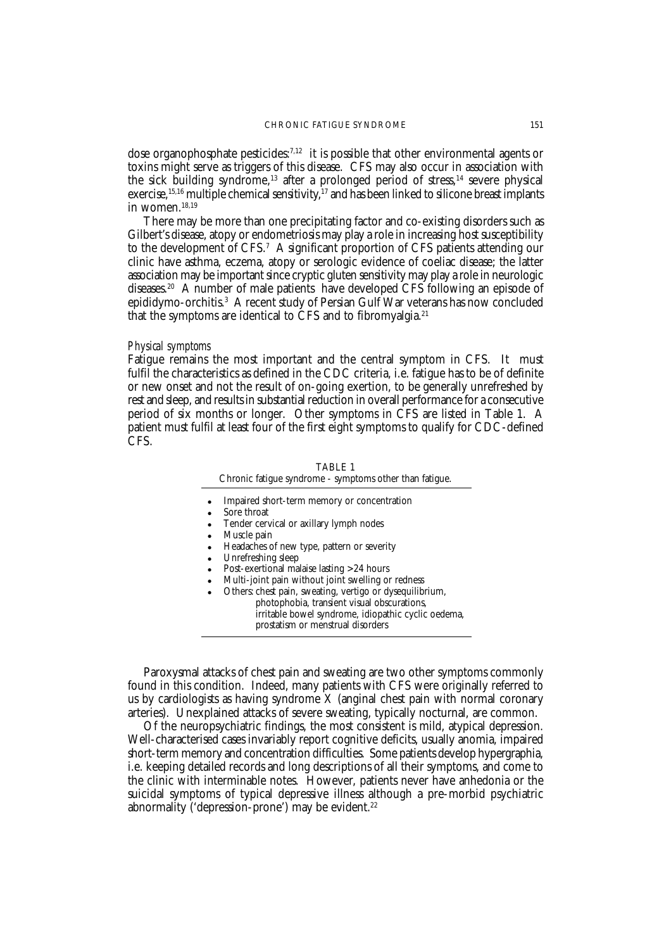dose organophosphate pesticides: $7,12$  it is possible that other environmental agents or toxins might serve as triggers of this disease. CFS may also occur in association with the sick building syndrome,<sup>13</sup> after a prolonged period of stress,<sup>14</sup> severe physical exercise,  $15,16$  multiple chemical sensitivity,  $17$  and has been linked to silicone breast implants in women.<sup>18,19</sup>

There may be more than one precipitating factor and co-existing disorders such as Gilbert's disease, atopy or endometriosis may play a role in increasing host susceptibility to the development of CFS.7 A significant proportion of CFS patients attending our clinic have asthma, eczema, atopy or serologic evidence of coeliac disease; the latter association may be important since cryptic gluten sensitivity may play a role in neurologic diseases.20 A number of male patients have developed CFS following an episode of epididymo-orchitis.3 A recent study of Persian Gulf War veterans has now concluded that the symptoms are identical to CFS and to fibromyalgia.<sup>21</sup>

## *Physical symptoms*

Fatigue remains the most important and the central symptom in CFS. It must fulfil the characteristics as defined in the CDC criteria, i.e. fatigue has to be of definite or new onset and not the result of on-going exertion, to be generally unrefreshed by rest and sleep, and results in substantial reduction in overall performance for a consecutive period of six months or longer. Other symptoms in CFS are listed in Table 1. A patient must fulfil at least four of the first eight symptoms to qualify for CDC-defined CFS.

| TABLE 1                                                 |
|---------------------------------------------------------|
| Chronic fatigue syndrome - symptoms other than fatigue. |
| Impaired short-term memory or concentration             |

- Impaired short-term memory or concentration Sore throat
- Tender cervical or axillary lymph nodes
- Muscle pain
- Headaches of new type, pattern or severity
- Unrefreshing sleep
- Post-exertional malaise lasting >24 hours
- Multi-joint pain without joint swelling or redness
- Others: chest pain, sweating, vertigo or dysequilibrium, photophobia, transient visual obscurations, irritable bowel syndrome, idiopathic cyclic oedema, prostatism or menstrual disorders

Paroxysmal attacks of chest pain and sweating are two other symptoms commonly found in this condition. Indeed, many patients with CFS were originally referred to us by cardiologists as having syndrome  $X$  (anginal chest pain with normal coronary arteries). Unexplained attacks of severe sweating, typically nocturnal, are common.

Of the neuropsychiatric findings, the most consistent is mild, atypical depression. Well-characterised cases invariably report cognitive deficits, usually anomia, impaired short-term memory and concentration difficulties. Some patients develop hypergraphia, i.e. keeping detailed records and long descriptions of all their symptoms, and come to the clinic with interminable notes. However, patients never have anhedonia or the suicidal symptoms of typical depressive illness although a pre-morbid psychiatric abnormality ('depression-prone') may be evident.<sup>22</sup>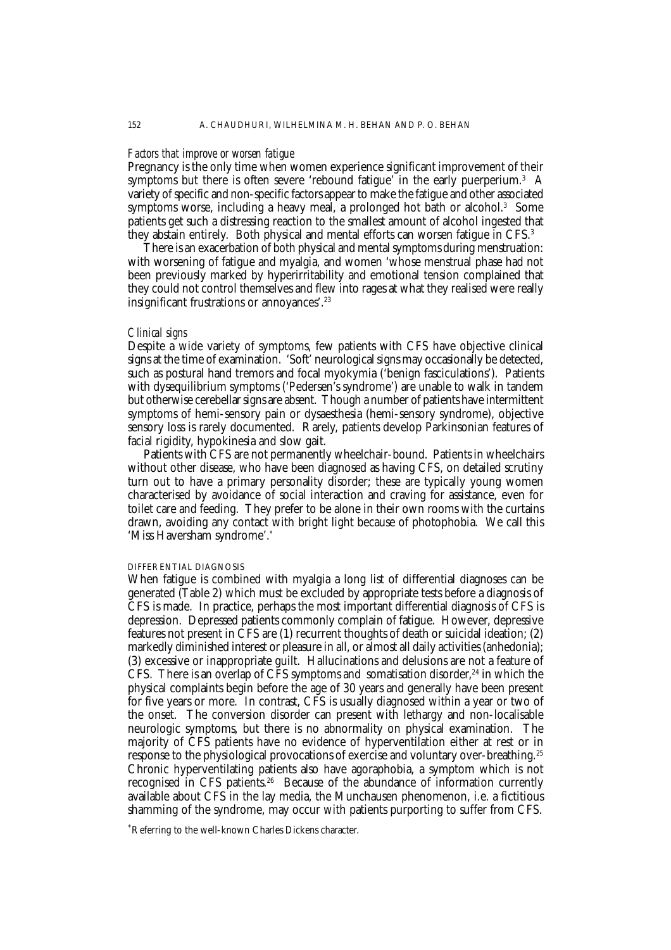#### *Factors that improve or worsen fatigue*

Pregnancy is the only time when women experience significant improvement of their symptoms but there is often severe 'rebound fatigue' in the early puerperium. $^3$   $\,$  A variety of specific and non-specific factors appear to make the fatigue and other associated symptoms worse, including a heavy meal, a prolonged hot bath or alcohol.<sup>3</sup> Some patients get such a distressing reaction to the smallest amount of alcohol ingested that they abstain entirely. Both physical and mental efforts can worsen fatigue in CFS.3

There is an exacerbation of both physical and mental symptoms during menstruation: with worsening of fatigue and myalgia, and women 'whose menstrual phase had not been previously marked by hyperirritability and emotional tension complained that they could not control themselves and flew into rages at what they realised were really insignificant frustrations or annoyances'.23

#### *Clinical signs*

Despite a wide variety of symptoms, few patients with CFS have objective clinical signs at the time of examination. 'Soft' neurological signs may occasionally be detected, such as postural hand tremors and focal myokymia ('benign fasciculations'). Patients with dysequilibrium symptoms ('Pedersen's syndrome') are unable to walk in tandem but otherwise cerebellar signs are absent. Though a number of patients have intermittent symptoms of hemi-sensory pain or dysaesthesia (hemi-sensory syndrome), objective sensory loss is rarely documented. Rarely, patients develop Parkinsonian features of facial rigidity, hypokinesia and slow gait.

Patients with CFS are not permanently wheelchair-bound. Patients in wheelchairs without other disease, who have been diagnosed as having CFS, on detailed scrutiny turn out to have a primary personality disorder; these are typically young women characterised by avoidance of social interaction and craving for assistance, even for toilet care and feeding. They prefer to be alone in their own rooms with the curtains drawn, avoiding any contact with bright light because of photophobia. We call this 'Miss Haversham syndrome'.\*

#### DIFFERENTIAL DIAGNOSIS

When fatigue is combined with myalgia a long list of differential diagnoses can be generated (Table 2) which must be excluded by appropriate tests before a diagnosis of CFS is made. In practice, perhaps the most important differential diagnosis of CFS is depression. Depressed patients commonly complain of fatigue. However, depressive features not present in CFS are (1) recurrent thoughts of death or suicidal ideation; (2) markedly diminished interest or pleasure in all, or almost all daily activities (anhedonia); (3) excessive or inappropriate guilt. Hallucinations and delusions are not a feature of CFS. There is an overlap of CFS symptoms and somatisation disorder.<sup>24</sup> in which the physical complaints begin before the age of 30 years and generally have been present for five years or more. In contrast, CFS is usually diagnosed within a year or two of the onset. The conversion disorder can present with lethargy and non-localisable neurologic symptoms, but there is no abnormality on physical examination. The majority of CFS patients have no evidence of hyperventilation either at rest or in response to the physiological provocations of exercise and voluntary over-breathing.<sup>25</sup> Chronic hyperventilating patients also have agoraphobia, a symptom which is not recognised in CFS patients.<sup>26</sup> Because of the abundance of information currently available about CFS in the lay media, the Munchausen phenomenon, i.e. a fictitious shamming of the syndrome, may occur with patients purporting to suffer from CFS.

\* Referring to the well-known Charles Dickens character.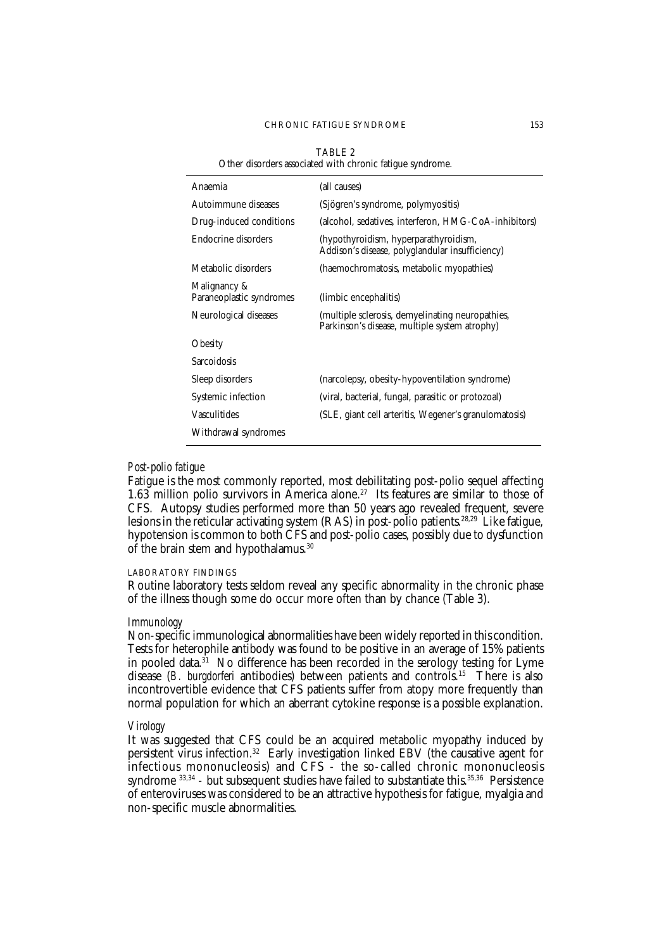#### CHRONIC FATIGUE SYNDROME 153

| TABLE 2<br>Other disorders associated with chronic fatigue syndrome. |                                                                                                   |  |  |
|----------------------------------------------------------------------|---------------------------------------------------------------------------------------------------|--|--|
| Anaemia                                                              | (all causes)                                                                                      |  |  |
| Autoimmune diseases                                                  | (Sjögren's syndrome, polymyositis)                                                                |  |  |
| Drug-induced conditions                                              | (alcohol, sedatives, interferon, HMG-CoA-inhibitors)                                              |  |  |
| Endocrine disorders                                                  | (hypothyroidism, hyperparathyroidism,<br>Addison's disease, polyglandular insufficiency)          |  |  |
| Metabolic disorders                                                  | (haemochromatosis, metabolic myopathies)                                                          |  |  |
| Malignancy &<br>Paraneoplastic syndromes                             | (limbic encephalitis)                                                                             |  |  |
| Neurological diseases                                                | (multiple sclerosis, demyelinating neuropathies,<br>Parkinson's disease, multiple system atrophy) |  |  |
| <b>Obesity</b>                                                       |                                                                                                   |  |  |
| Sarcoidosis                                                          |                                                                                                   |  |  |
| Sleep disorders                                                      | (narcolepsy, obesity-hypoventilation syndrome)                                                    |  |  |
| Systemic infection                                                   | (viral, bacterial, fungal, parasitic or protozoal)                                                |  |  |
| <b>Vasculitides</b>                                                  | (SLE, giant cell arteritis, Wegener's granulomatosis)                                             |  |  |
| Withdrawal syndromes                                                 |                                                                                                   |  |  |

## *Post-polio fatigue*

Fatigue is the most commonly reported, most debilitating post-polio sequel affecting 1.63 million polio survivors in America alone.27 Its features are similar to those of CFS. Autopsy studies performed more than 50 years ago revealed frequent, severe lesions in the reticular activating system (RAS) in post-polio patients.<sup>28,29</sup> Like fatigue, hypotension is common to both CFS and post-polio cases, possibly due to dysfunction of the brain stem and hypothalamus.<sup>30</sup>

# LABORATORY FINDINGS

Routine laboratory tests seldom reveal any specific abnormality in the chronic phase of the illness though some do occur more often than by chance (Table 3).

#### *Immunology*

Non-specific immunological abnormalities have been widely reported in this condition. Tests for heterophile antibody was found to be positive in an average of 15% patients in pooled data.<sup>31</sup> No difference has been recorded in the serology testing for Lyme disease (*B. burgdorferi* antibodies) between patients and controls.15 There is also incontrovertible evidence that CFS patients suffer from atopy more frequently than normal population for which an aberrant cytokine response is a possible explanation.

## *Virology*

It was suggested that CFS could be an acquired metabolic myopathy induced by persistent virus infection.32 Early investigation linked EBV (the causative agent for infectious mononucleosis) and CFS - the so-called chronic mononucleosis syndrome  $33,34$  - but subsequent studies have failed to substantiate this.  $35,36$  Persistence of enteroviruses was considered to be an attractive hypothesis for fatigue, myalgia and non-specific muscle abnormalities.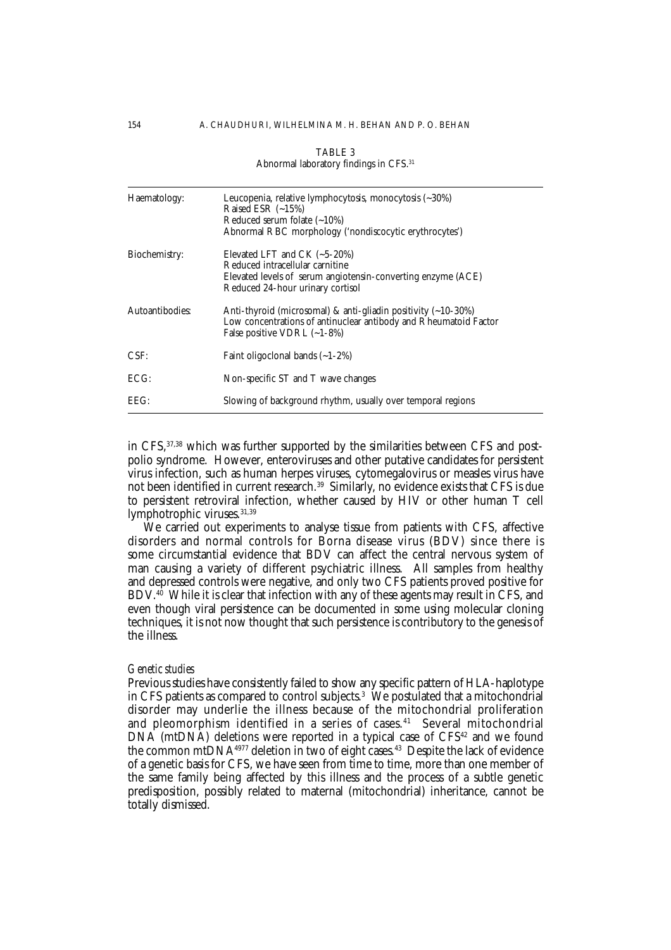|                 | $\frac{1}{2}$ abriorman adoptator $\frac{1}{2}$ imaings in $\frac{1}{2}$ b.                                                                                                      |
|-----------------|----------------------------------------------------------------------------------------------------------------------------------------------------------------------------------|
| Haematology:    | Leucopenia, relative lymphocytosis, monocytosis $(\sim 30\%)$<br>Raised ESR $(-15%)$<br>Reduced serum folate $(-10\%)$<br>Abnormal RBC morphology ('nondiscocytic erythrocytes') |
| Biochemistry:   | Elevated LFT and CK $(-5-20%)$<br>Reduced intracellular carnitine<br>Elevated levels of serum angiotensin-converting enzyme (ACE)<br>Reduced 24-hour urinary cortisol            |
| Autoantibodies: | Anti-thyroid (microsomal) & anti-gliadin positivity $(-10-30\%)$<br>Low concentrations of antinuclear antibody and Rheumatoid Factor<br>False positive VDRL $(-1-8\%)$           |
| CSF:            | Faint oligoclonal bands $(-1-2%)$                                                                                                                                                |
| ECG:            | Non-specific ST and T wave changes                                                                                                                                               |
| EEG:            | Slowing of background rhythm, usually over temporal regions                                                                                                                      |

TABLE 3 Abnormal laboratory findings in CFS.31

in CFS, 37,38 which was further supported by the similarities between CFS and postpolio syndrome. However, enteroviruses and other putative candidates for persistent virus infection, such as human herpes viruses, cytomegalovirus or measles virus have not been identified in current research.39 Similarly, no evidence exists that CFS is due to persistent retroviral infection, whether caused by HIV or other human T cell lymphotrophic viruses.<sup>31,39</sup>

We carried out experiments to analyse tissue from patients with CFS, affective disorders and normal controls for Borna disease virus (BDV) since there is some circumstantial evidence that BDV can affect the central nervous system of man causing a variety of different psychiatric illness. All samples from healthy and depressed controls were negative, and only two CFS patients proved positive for BDV.<sup>40</sup> While it is clear that infection with any of these agents may result in CFS, and even though viral persistence can be documented in some using molecular cloning techniques, it is not now thought that such persistence is contributory to the genesis of the illness.

## *Genetic studies*

Previous studies have consistently failed to show any specific pattern of HLA-haplotype in CFS patients as compared to control subjects. $^{\rm 3}$  We postulated that a mitochondrial disorder may underlie the illness because of the mitochondrial proliferation and pleomorphism identified in a series of cases.<sup>41</sup> Several mitochondrial  $DNA$  (mtDNA) deletions were reported in a typical case of  $CFS<sup>42</sup>$  and we found the common mtDNA $4977$  deletion in two of eight cases.<sup>43</sup> Despite the lack of evidence of a genetic basis for CFS, we have seen from time to time, more than one member of the same family being affected by this illness and the process of a subtle genetic predisposition, possibly related to maternal (mitochondrial) inheritance, cannot be totally dismissed.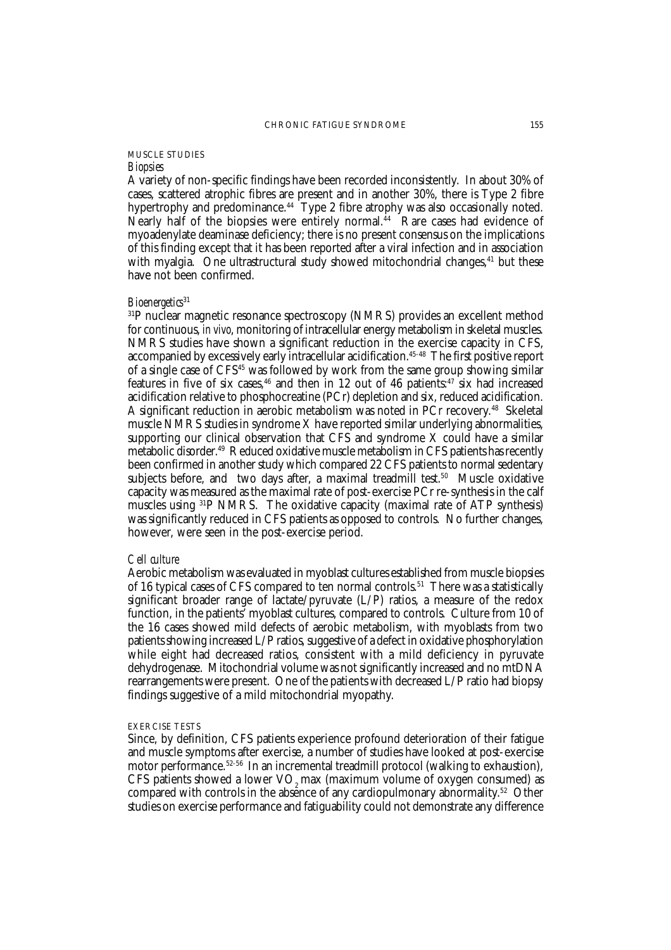# MUSCLE STUDIES

# *Biopsies*

A variety of non-specific findings have been recorded inconsistently. In about 30% of cases, scattered atrophic fibres are present and in another 30%, there is Type 2 fibre hypertrophy and predominance.<sup>44</sup> Type 2 fibre atrophy was also occasionally noted. Nearly half of the biopsies were entirely normal.44 Rare cases had evidence of myoadenylate deaminase deficiency; there is no present consensus on the implications of this finding except that it has been reported after a viral infection and in association with myalgia. One ultrastructural study showed mitochondrial changes,  $41$  but these have not been confirmed.

# *Bioenergetics*<sup>31</sup>

31P nuclear magnetic resonance spectroscopy (NMRS) provides an excellent method for continuous, *in vivo*, monitoring of intracellular energy metabolism in skeletal muscles. NMRS studies have shown a significant reduction in the exercise capacity in CFS, accompanied by excessively early intracellular acidification.45-48 The first positive report of a single case of CFS45 was followed by work from the same group showing similar features in five of six cases,<sup>46</sup> and then in 12 out of 46 patients:<sup>47</sup> six had increased acidification relative to phosphocreatine (PCr) depletion and six, reduced acidification. A significant reduction in aerobic metabolism was noted in PCr recovery.48 Skeletal muscle NMRS studies in syndrome X have reported similar underlying abnormalities, supporting our clinical observation that CFS and syndrome X could have a similar metabolic disorder.49 Reduced oxidative muscle metabolism in CFS patients has recently been confirmed in another study which compared 22 CFS patients to normal sedentary subjects before, and two days after, a maximal treadmill test.<sup>50</sup> Muscle oxidative capacity was measured as the maximal rate of post-exercise PCr re-synthesis in the calf muscles using 31P NMRS. The oxidative capacity (maximal rate of ATP synthesis) was significantly reduced in CFS patients as opposed to controls. No further changes, however, were seen in the post-exercise period.

## *Cell culture*

Aerobic metabolism was evaluated in myoblast cultures established from muscle biopsies of 16 typical cases of CFS compared to ten normal controls.<sup>51</sup> There was a statistically significant broader range of lactate/pyruvate (L/P) ratios, a measure of the redox function, in the patients' myoblast cultures, compared to controls. Culture from 10 of the 16 cases showed mild defects of aerobic metabolism, with myoblasts from two patients showing increased L/P ratios, suggestive of a defect in oxidative phosphorylation while eight had decreased ratios, consistent with a mild deficiency in pyruvate dehydrogenase. Mitochondrial volume was not significantly increased and no mtDNA rearrangements were present. One of the patients with decreased L/P ratio had biopsy findings suggestive of a mild mitochondrial myopathy.

#### EXERCISE TESTS

Since, by definition, CFS patients experience profound deterioration of their fatigue and muscle symptoms after exercise, a number of studies have looked at post-exercise motor performance.52-56 In an incremental treadmill protocol (walking to exhaustion), CFS patients showed a lower  $VO<sub>2</sub>$  max (maximum volume of oxygen consumed) as compared with controls in the absence of any cardiopulmonary abnormality.52 Other studies on exercise performance and fatiguability could not demonstrate any difference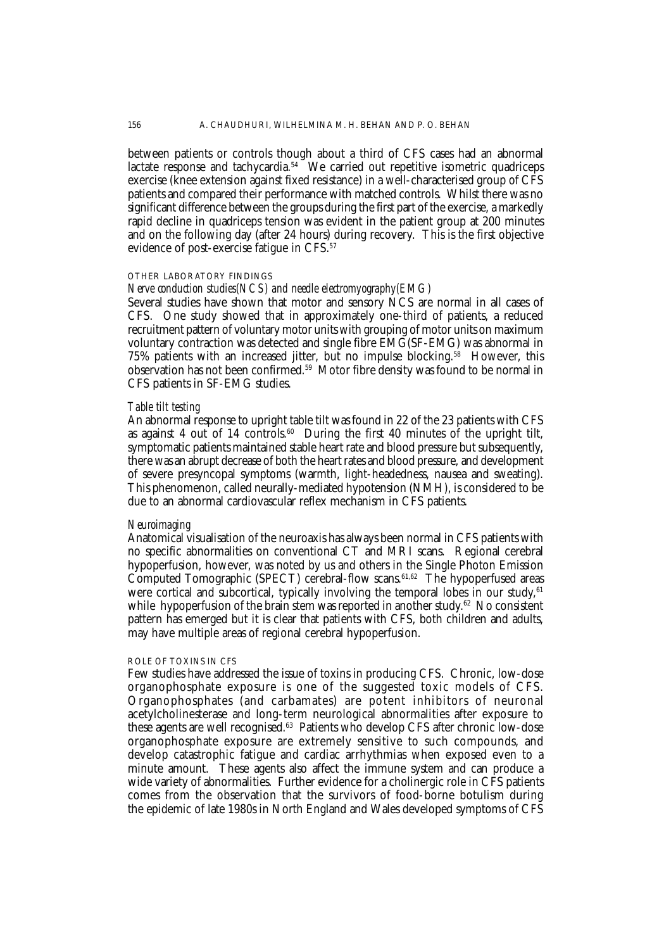between patients or controls though about a third of CFS cases had an abnormal lactate response and tachycardia.<sup>54</sup> We carried out repetitive isometric quadriceps exercise (knee extension against fixed resistance) in a well-characterised group of CFS patients and compared their performance with matched controls. Whilst there was no significant difference between the groups during the first part of the exercise, a markedly rapid decline in quadriceps tension was evident in the patient group at 200 minutes and on the following day (after 24 hours) during recovery. This is the first objective evidence of post-exercise fatigue in CFS.<sup>57</sup>

## OTHER LABORATORY FINDINGS

# *Nerve conduction studies(NCS) and needle electromyography(EMG)*

Several studies have shown that motor and sensory NCS are normal in all cases of CFS. One study showed that in approximately one-third of patients, a reduced recruitment pattern of voluntary motor units with grouping of motor units on maximum voluntary contraction was detected and single fibre EMG(SF-EMG) was abnormal in 75% patients with an increased jitter, but no impulse blocking.58 However, this observation has not been confirmed.59 Motor fibre density was found to be normal in CFS patients in SF-EMG studies.

#### *Table tilt testing*

An abnormal response to upright table tilt was found in 22 of the 23 patients with CFS as against 4 out of 14 controls.<sup>60</sup> During the first 40 minutes of the upright tilt, symptomatic patients maintained stable heart rate and blood pressure but subsequently, there was an abrupt decrease of both the heart rates and blood pressure, and development of severe presyncopal symptoms (warmth, light-headedness, nausea and sweating). This phenomenon, called neurally-mediated hypotension (NMH), is considered to be due to an abnormal cardiovascular reflex mechanism in CFS patients.

## *Neuroimaging*

Anatomical visualisation of the neuroaxis has always been normal in CFS patients with no specific abnormalities on conventional CT and MRI scans. Regional cerebral hypoperfusion, however, was noted by us and others in the Single Photon Emission  $\r{Computed Tomographic (SPECT) cerebral-flow scans.<sup>61,62</sup> The hvpoperfused areas$ were cortical and subcortical, typically involving the temporal lobes in our study, $61$ while hypoperfusion of the brain stem was reported in another study.<sup>62</sup> No consistent pattern has emerged but it is clear that patients with CFS, both children and adults, may have multiple areas of regional cerebral hypoperfusion.

#### ROLE OF TOXINS IN CFS

Few studies have addressed the issue of toxins in producing CFS. Chronic, low-dose organophosphate exposure is one of the suggested toxic models of CFS. Organophosphates (and carbamates) are potent inhibitors of neuronal acetylcholinesterase and long-term neurological abnormalities after exposure to these agents are well recognised.63 Patients who develop CFS after chronic low-dose organophosphate exposure are extremely sensitive to such compounds, and develop catastrophic fatigue and cardiac arrhythmias when exposed even to a minute amount. These agents also affect the immune system and can produce a wide variety of abnormalities. Further evidence for a cholinergic role in CFS patients comes from the observation that the survivors of food-borne botulism during the epidemic of late 1980s in North England and Wales developed symptoms of CFS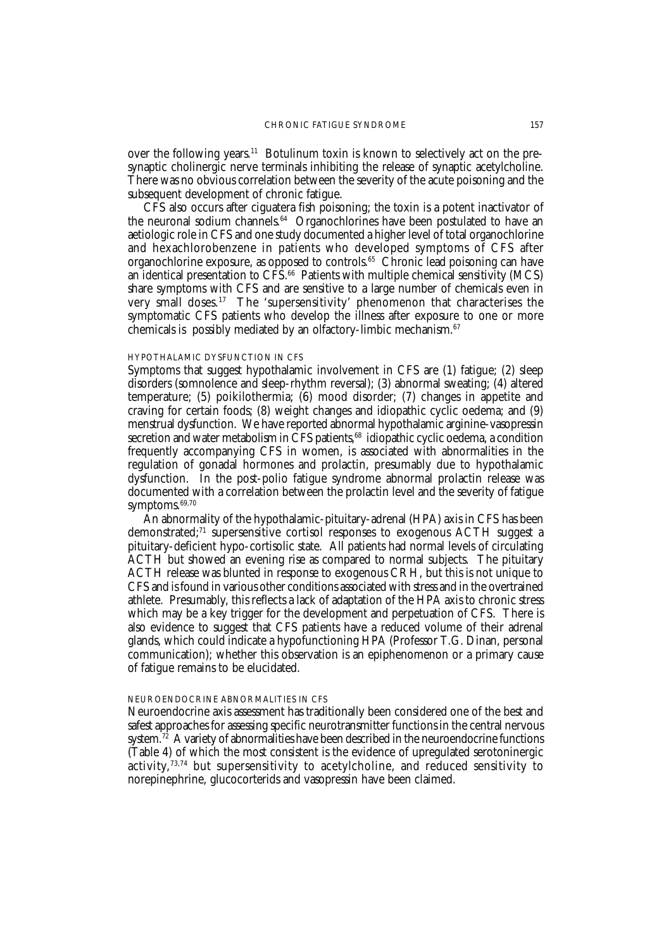over the following years.<sup>11</sup> Botulinum toxin is known to selectively act on the presynaptic cholinergic nerve terminals inhibiting the release of synaptic acetylcholine. There was no obvious correlation between the severity of the acute poisoning and the subsequent development of chronic fatigue.

CFS also occurs after ciguatera fish poisoning; the toxin is a potent inactivator of the neuronal sodium channels.<sup>64</sup> Organochlorines have been postulated to have an aetiologic role in CFS and one study documented a higher level of total organochlorine and hexachlorobenzene in patients who developed symptoms of CFS after organochlorine exposure, as opposed to controls.<sup>65</sup> Chronic lead poisoning can have an identical presentation to  $CF\bar{S}^{66}$  Patients with multiple chemical sensitivity (MCS) share symptoms with CFS and are sensitive to a large number of chemicals even in very small doses.<sup>17</sup> The 'supersensitivity' phenomenon that characterises the symptomatic CFS patients who develop the illness after exposure to one or more chemicals is possibly mediated by an olfactory-limbic mechanism.67

## HYPOTHALAMIC DYSFUNCTION IN CFS

Symptoms that suggest hypothalamic involvement in CFS are (1) fatigue; (2) sleep disorders (somnolence and sleep-rhythm reversal); (3) abnormal sweating; (4) altered temperature; (5) poikilothermia; (6) mood disorder; (7) changes in appetite and craving for certain foods; (8) weight changes and idiopathic cyclic oedema; and (9) menstrual dysfunction. We have reported abnormal hypothalamic arginine-vasopressin secretion and water metabolism in  $\hat{C}FS$  patients,<sup>68</sup> idiopathic cyclic oedema, a condition frequently accompanying CFS in women, is associated with abnormalities in the regulation of gonadal hormones and prolactin, presumably due to hypothalamic dysfunction. In the post-polio fatigue syndrome abnormal prolactin release was documented with a correlation between the prolactin level and the severity of fatigue symptoms.<sup>69,70</sup>

An abnormality of the hypothalamic-pituitary-adrenal (HPA) axis in CFS has been demonstrated;<sup>71</sup> supersensitive cortisol responses to exogenous ACTH suggest a pituitary-deficient hypo-cortisolic state. All patients had normal levels of circulating ACTH but showed an evening rise as compared to normal subjects. The pituitary ACTH release was blunted in response to exogenous CRH, but this is not unique to CFS and is found in various other conditions associated with stress and in the overtrained athlete. Presumably, this reflects a lack of adaptation of the HPA axis to chronic stress which may be a key trigger for the development and perpetuation of CFS. There is also evidence to suggest that CFS patients have a reduced volume of their adrenal glands, which could indicate a hypofunctioning HPA (Professor T.G. Dinan, personal communication); whether this observation is an epiphenomenon or a primary cause of fatigue remains to be elucidated.

#### NEUROENDOCRINE ABNORMALITIES IN CFS

Neuroendocrine axis assessment has traditionally been considered one of the best and safest approaches for assessing specific neurotransmitter functions in the central nervous system. $7\overline{2}$  A variety of abnormalities have been described in the neuroendocrine functions (Table 4) of which the most consistent is the evidence of upregulated serotoninergic activity, $73,74$  but supersensitivity to acetylcholine, and reduced sensitivity to norepinephrine, glucocorterids and vasopressin have been claimed.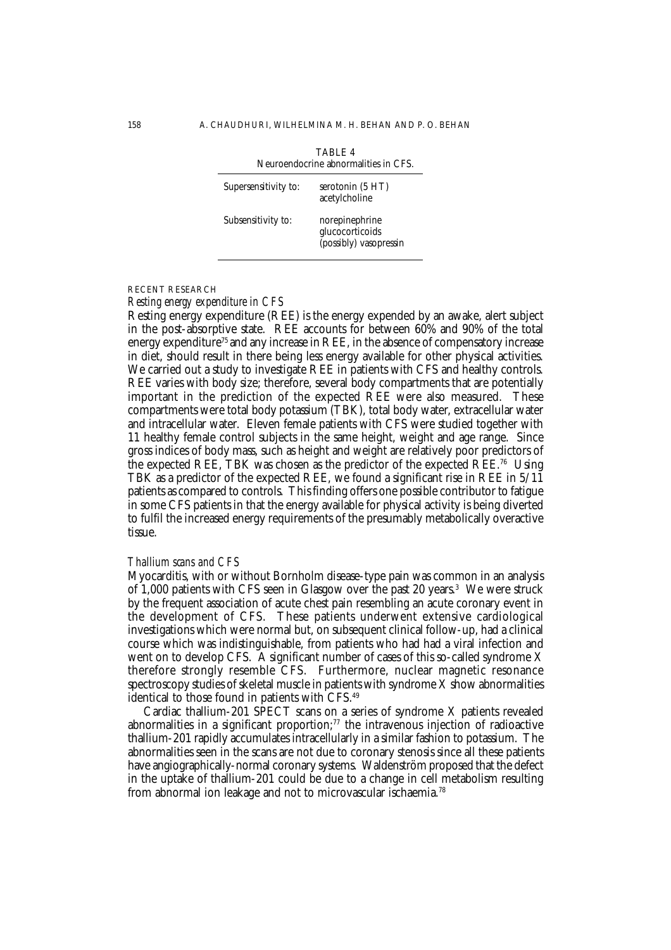| TARI F 4<br>Neuroendocrine abnormalities in CFS. |                                                             |  |
|--------------------------------------------------|-------------------------------------------------------------|--|
| Supersensitivity to:                             | serotonin (5 HT)<br>acetylcholine                           |  |
| Subsensitivity to:                               | norepinephrine<br>glucocorticoids<br>(possibly) vasopressin |  |

#### RECENT RESEARCH

## *Resting energy expenditure in CFS*

Resting energy expenditure (REE) is the energy expended by an awake, alert subject in the post-absorptive state. REE accounts for between 60% and 90% of the total energy expenditure<sup>75</sup> and any increase in REE, in the absence of compensatory increase in diet, should result in there being less energy available for other physical activities. We carried out a study to investigate REE in patients with CFS and healthy controls. REE varies with body size; therefore, several body compartments that are potentially important in the prediction of the expected REE were also measured. These compartments were total body potassium (TBK), total body water, extracellular water and intracellular water. Eleven female patients with CFS were studied together with 11 healthy female control subjects in the same height, weight and age range. Since gross indices of body mass, such as height and weight are relatively poor predictors of the expected REE, TBK was chosen as the predictor of the expected REE.<sup>76</sup> Using TBK as a predictor of the expected REE, we found a significant rise in REE in 5/11 patients as compared to controls. This finding offers one possible contributor to fatigue in some CFS patients in that the energy available for physical activity is being diverted to fulfil the increased energy requirements of the presumably metabolically overactive tissue.

#### *Thallium scans and CFS*

Myocarditis, with or without Bornholm disease-type pain was common in an analysis of 1,000 patients with CFS seen in Glasgow over the past 20 years.<sup>3</sup> We were struck by the frequent association of acute chest pain resembling an acute coronary event in the development of CFS. These patients underwent extensive cardiological investigations which were normal but, on subsequent clinical follow-up, had a clinical course which was indistinguishable, from patients who had had a viral infection and went on to develop CFS. A significant number of cases of this so-called syndrome X therefore strongly resemble CFS. Furthermore, nuclear magnetic resonance spectroscopy studies of skeletal muscle in patients with syndrome X show abnormalities identical to those found in patients with CFS.<sup>49</sup>

Cardiac thallium-201 SPECT scans on a series of syndrome X patients revealed abnormalities in a significant proportion; $77$  the intravenous injection of radioactive thallium-201 rapidly accumulates intracellularly in a similar fashion to potassium. The abnormalities seen in the scans are not due to coronary stenosis since all these patients have angiographically-normal coronary systems. Waldenström proposed that the defect in the uptake of thallium-201 could be due to a change in cell metabolism resulting from abnormal ion leakage and not to microvascular ischaemia.78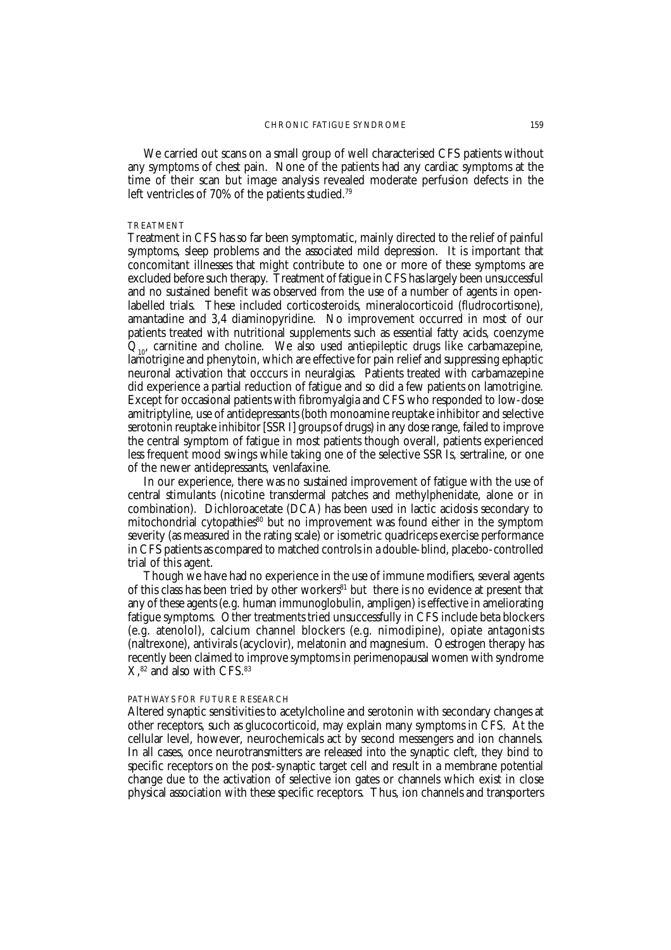We carried out scans on a small group of well characterised CFS patients without any symptoms of chest pain. None of the patients had any cardiac symptoms at the time of their scan but image analysis revealed moderate perfusion defects in the left ventricles of 70% of the patients studied.<sup>79</sup>

#### TREATMENT

Treatment in CFS has so far been symptomatic, mainly directed to the relief of painful symptoms, sleep problems and the associated mild depression. It is important that concomitant illnesses that might contribute to one or more of these symptoms are excluded before such therapy. Treatment of fatigue in CFS has largely been unsuccessful and no sustained benefit was observed from the use of a number of agents in openlabelled trials. These included corticosteroids, mineralocorticoid (fludrocortisone), amantadine and 3,4 diaminopyridine. No improvement occurred in most of our patients treated with nutritional supplements such as essential fatty acids, coenzyme  $Q_{10}$ , carnitine and choline. We also used antiepileptic drugs like carbamazepine, lamotrigine and phenytoin, which are effective for pain relief and suppressing ephaptic neuronal activation that occcurs in neuralgias. Patients treated with carbamazepine did experience a partial reduction of fatigue and so did a few patients on lamotrigine. Except for occasional patients with fibromyalgia and CFS who responded to low-dose amitriptyline, use of antidepressants (both monoamine reuptake inhibitor and selective serotonin reuptake inhibitor [SSRI] groups of drugs) in any dose range, failed to improve the central symptom of fatigue in most patients though overall, patients experienced less frequent mood swings while taking one of the selective SSRIs, sertraline, or one of the newer antidepressants, venlafaxine.

In our experience, there was no sustained improvement of fatigue with the use of central stimulants (nicotine transdermal patches and methylphenidate, alone or in combination). Dichloroacetate (DCA) has been used in lactic acidosis secondary to mitochondrial cytopathies<sup>80</sup> but no improvement was found either in the symptom severity (as measured in the rating scale) or isometric quadriceps exercise performance in CFS patients as compared to matched controls in a double-blind, placebo-controlled trial of this agent.

Though we have had no experience in the use of immune modifiers, several agents of this class has been tried by other workers<sup>81</sup> but there is no evidence at present that any of these agents (e.g. human immunoglobulin, ampligen) is effective in ameliorating fatigue symptoms. Other treatments tried unsuccessfully in CFS include beta blockers (e.g. atenolol), calcium channel blockers (e.g. nimodipine), opiate antagonists (naltrexone), antivirals (acyclovir), melatonin and magnesium. Oestrogen therapy has recently been claimed to improve symptoms in perimenopausal women with syndrome  $X<sup>82</sup>$  and also with CFS. $<sup>83</sup>$ </sup>

#### PATHWAYS FOR FUTURE RESEARCH

Altered synaptic sensitivities to acetylcholine and serotonin with secondary changes at other receptors, such as glucocorticoid, may explain many symptoms in CFS. At the cellular level, however, neurochemicals act by second messengers and ion channels. In all cases, once neurotransmitters are released into the synaptic cleft, they bind to specific receptors on the post-synaptic target cell and result in a membrane potential change due to the activation of selective ion gates or channels which exist in close physical association with these specific receptors. Thus, ion channels and transporters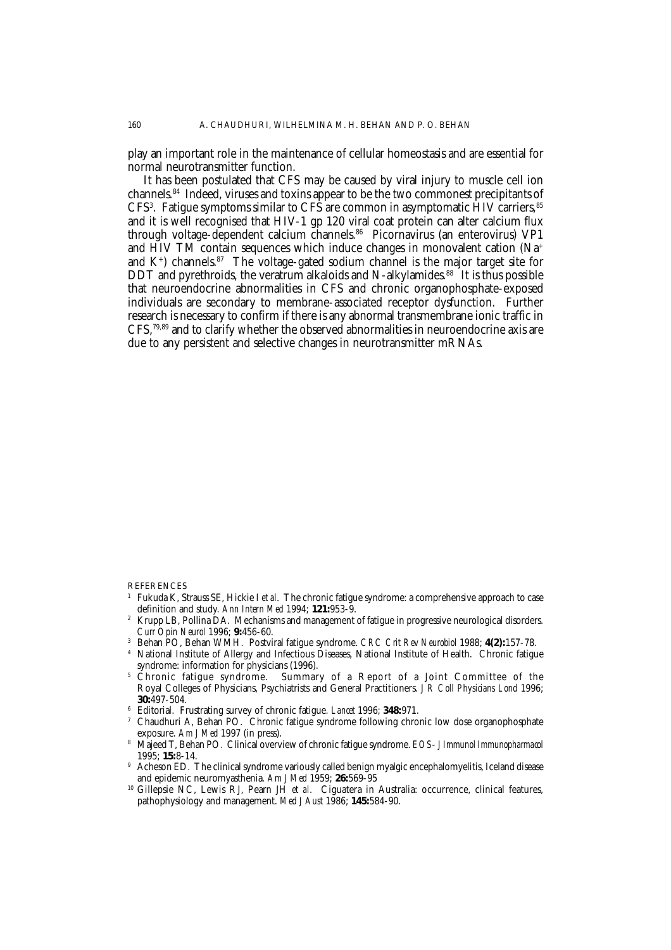play an important role in the maintenance of cellular homeostasis and are essential for normal neurotransmitter function.

It has been postulated that CFS may be caused by viral injury to muscle cell ion channels.84 Indeed, viruses and toxins appear to be the two commonest precipitants of  $CFS^3$ . Fatigue symptoms similar to  $CFS$  are common in asymptomatic HIV carriers,  $^{85}$ and it is well recognised that HIV-1 gp 120 viral coat protein can alter calcium flux through voltage-dependent calcium channels.86 Picornavirus (an enterovirus) VP1 and HIV TM contain sequences which induce changes in monovalent cation (Na+ and  $K^+$ ) channels.<sup>87</sup> The voltage-gated sodium channel is the major target site for DDT and pyrethroids, the veratrum alkaloids and N-alkylamides.<sup>88</sup> It is thus possible that neuroendocrine abnormalities in CFS and chronic organophosphate-exposed individuals are secondary to membrane-associated receptor dysfunction. Further research is necessary to confirm if there is any abnormal transmembrane ionic traffic in CFS,79,89 and to clarify whether the observed abnormalities in neuroendocrine axis are due to any persistent and selective changes in neurotransmitter mRNAs.

**REFERENCES** 

- <sup>1</sup> Fukuda K, Strauss SE, Hickie I *et al*. The chronic fatigue syndrome: a comprehensive approach to case definition and study. *Ann Intern Med* 1994; **121:**953-9.
- <sup>2</sup> Krupp LB, Pollina DA. Mechanisms and management of fatigue in progressive neurological disorders. *Curr Opin Neurol* 1996; **9:**456-60.
- <sup>3</sup> Behan PO, Behan WMH. Postviral fatigue syndrome. *CRC Crit Rev Neurobiol* 1988; **4(2):**157-78.
- <sup>4</sup> National Institute of Allergy and Infectious Diseases, National Institute of Health. Chronic fatigue syndrome: information for physicians (1996).
- $^5$  Chronic fatigue syndrome. Summary of a Report of a Joint Committee of the Royal Colleges of Physicians, Psychiatrists and General Practitioners. *J R Coll Physicians Lond* 1996; **30:**497-504.
- <sup>6</sup> Editorial. Frustrating survey of chronic fatigue. *Lancet* 1996; **348:**971.
- <sup>7</sup> Chaudhuri A, Behan PO. Chronic fatigue syndrome following chronic low dose organophosphate exposure. *Am J Med* 1997 (in press).
- <sup>8</sup> Majeed T, Behan PO. Clinical overview of chronic fatigue syndrome. *EOS J Immunol Immunopharmacol* 1995; **15:**8-14.
- Acheson ED. The clinical syndrome variously called benign myalgic encephalomyelitis, Iceland disease and epidemic neuromyasthenia. *Am J Med* 1959; **26:**569-95
- <sup>10</sup> Gillepsie NC, Lewis RJ, Pearn JH *et al*. Ciguatera in Australia: occurrence, clinical features, pathophysiology and management. *Med J Aust* 1986; **145:**584-90.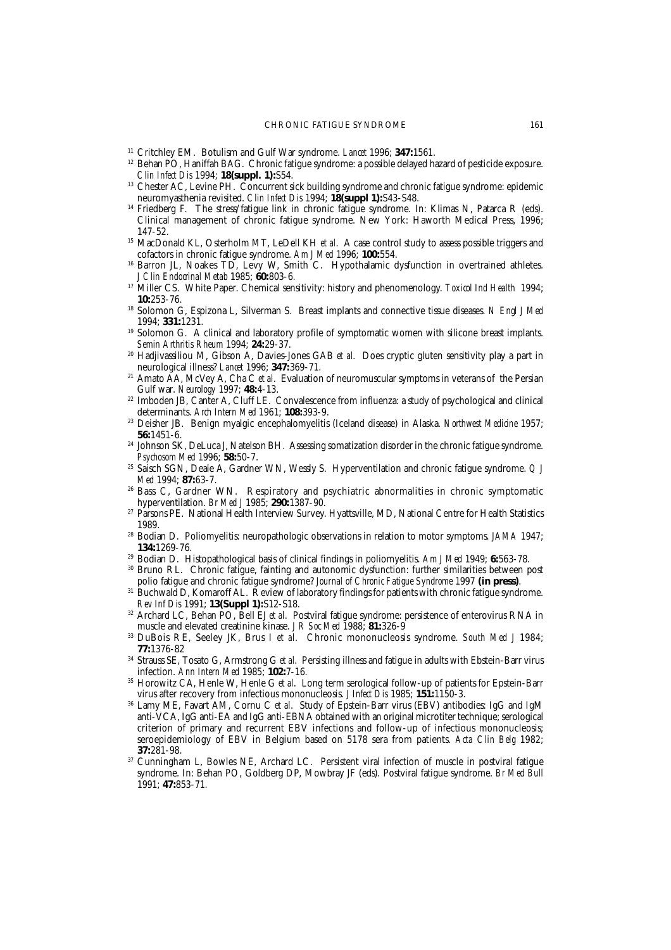- <sup>11</sup> Critchley EM. Botulism and Gulf War syndrome. *Lancet* 1996; **347:**1561.
- <sup>12</sup> Behan PO, Haniffah BAG. Chronic fatigue syndrome: a possible delayed hazard of pesticide exposure. *Clin Infect Dis* 1994; **18(suppl. 1):**S54.
- <sup>13</sup> Chester AC, Levine PH. Concurrent sick building syndrome and chronic fatigue syndrome: epidemic neuromyasthenia revisited. *Clin Infect Dis* 1994; **18(suppl 1):**S43-S48.
- <sup>14</sup> Friedberg F. The stress/fatigue link in chronic fatigue syndrome. In: Klimas N, Patarca R (eds). Clinical management of chronic fatigue syndrome. New York: Haworth Medical Press, 1996; 147-52.
- <sup>15</sup> MacDonald KL, Osterholm MT, LeDell KH *et al.* A case control study to assess possible triggers and cofactors in chronic fatigue syndrome. *Am J Med* 1996; **100:**554.
- Barron JL, Noakes TD, Levy W, Smith C. Hypothalamic dysfunction in overtrained athletes. *J Clin Endocrinal Metab* 1985; **60:**803-6.
- <sup>17</sup> Miller CS. White Paper. Chemical sensitivity: history and phenomenology. *Toxicol Ind Health* 1994; **10:**253-76.
- <sup>18</sup> Solomon G, Espizona L, Silverman S. Breast implants and connective tissue diseases. *N Engl J Med* 1994; **331:**1231.
- <sup>19</sup> Solomon G. A clinical and laboratory profile of symptomatic women with silicone breast implants. *Semin Arthritis Rheum* 1994; **24:**29-37.
- <sup>20</sup> Hadjivassiliou M, Gibson A, Davies-Jones GAB *et al*. Does cryptic gluten sensitivity play a part in neurological illness? *Lancet* 1996; **347:**369-71.
- <sup>21</sup> Amato AA, McVey A, Cha C *et al*. Evaluation of neuromuscular symptoms in veterans of the Persian Gulf war. *Neurology* 1997; **48:**4-13.
- <sup>22</sup> Imboden JB, Canter A, Cluff LE. Convalescence from influenza: a study of psychological and clinical determinants. *Arch Intern Med* 1961; **108:**393-9.
- <sup>23</sup> Deisher JB. Benign myalgic encephalomyelitis (Iceland disease) in Alaska. *Northwest Medicine* 1957; **56:**1451-6.
- <sup>24</sup> Johnson SK, DeLuca J, Natelson BH. Assessing somatization disorder in the chronic fatigue syndrome. *Psychosom Med* 1996; **58:**50-7.
- <sup>25</sup> Saisch SGN, Deale A, Gardner WN, Wessly S. Hyperventilation and chronic fatigue syndrome. *Q J Med* 1994; **87:**63-7.
- <sup>26</sup> Bass C, Gardner WN. Respiratory and psychiatric abnormalities in chronic symptomatic hyperventilation. *Br Med J* 1985; **290:**1387-90.
- <sup>27</sup> Parsons PE. National Health Interview Survey. Hyattsville, MD, National Centre for Health Statistics 1989.
- <sup>28</sup> Bodian D. Poliomyelitis: neuropathologic observations in relation to motor symptoms. *JAMA* 1947; **134:**1269-76.
- <sup>29</sup> Bodian D. Histopathological basis of clinical findings in poliomyelitis. *Am J Med* 1949; **6:**563-78.
- <sup>30</sup> Bruno RL. Chronic fatigue, fainting and autonomic dysfunction: further similarities between post polio fatigue and chronic fatigue syndrome? *Journal of Chronic Fatigue Syndrome* 1997 **(in press)**.
- <sup>31</sup> Buchwald D, Komaroff AL. Review of laboratory findings for patients with chronic fatigue syndrome. *Rev Inf Dis* 1991; **13(Suppl 1):**S12-S18.
- <sup>32</sup> Archard LC, Behan PO, Bell EJ *et al*. Postviral fatigue syndrome: persistence of enterovirus RNA in muscle and elevated creatinine kinase. *J R Soc Med* 1988; **81:**326-9
- <sup>33</sup> DuBois RE, Seeley JK, Brus I *et al*. Chronic mononucleosis syndrome. *South Med J* 1984; **77:**1376-82
- <sup>34</sup> Strauss SE, Tosato G, Armstrong G *et al*. Persisting illness and fatigue in adults with Ebstein-Barr virus infection. *Ann Intern Med* 1985; **102:**7-16.
- <sup>35</sup> Horowitz CA, Henle W, Henle G *et al*. Long term serological follow-up of patients for Epstein-Barr virus after recovery from infectious mononucleosis. *J Infect Dis* 1985; **151:**1150-3.
- <sup>36</sup> Lamy ME, Favart AM, Cornu C *et al*. Study of Epstein-Barr virus (EBV) antibodies: IgG and IgM anti-VCA, IgG anti-EA and IgG anti-EBNA obtained with an original microtiter technique; serological criterion of primary and recurrent EBV infections and follow-up of infectious mononucleosis; seroepidemiology of EBV in Belgium based on 5178 sera from patients. *Acta Clin Belg* 1982; **37:**281-98.
- <sup>37</sup> Cunningham L, Bowles NE, Archard LC. Persistent viral infection of muscle in postviral fatigue syndrome. In: Behan PO, Goldberg DP, Mowbray JF (eds). Postviral fatigue syndrome. *Br Med Bull* 1991; **47:**853-71.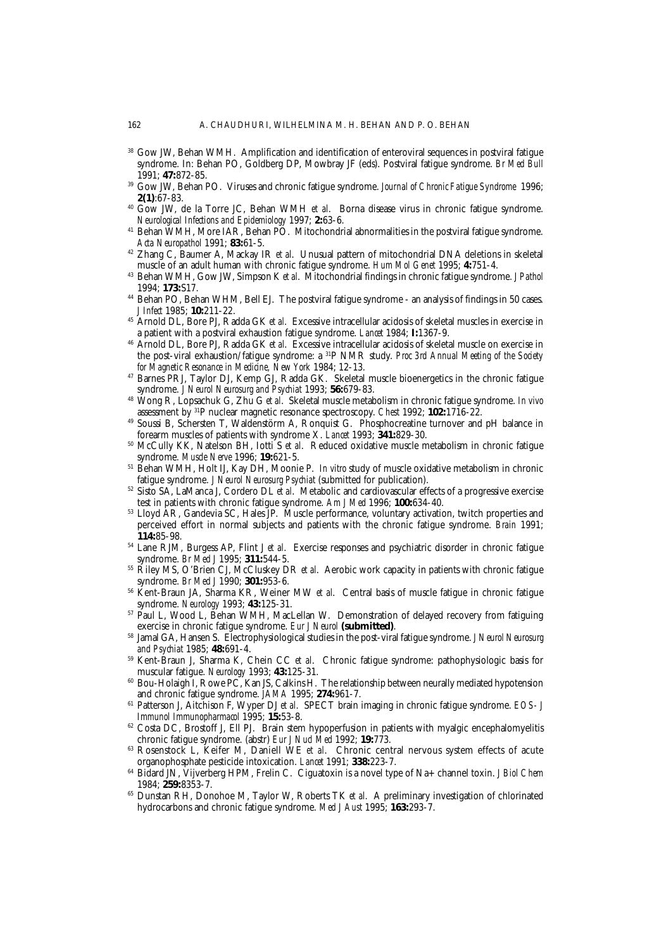- <sup>38</sup> Gow JW, Behan WMH. Amplification and identification of enteroviral sequences in postviral fatigue syndrome. In: Behan PO, Goldberg DP, Mowbray JF (eds). Postviral fatigue syndrome. *Br Med Bull* 1991; **47:**872-85.
- <sup>39</sup> Gow JW, Behan PO. Viruses and chronic fatigue syndrome. *Journal of Chronic Fatigue Syndrome* 1996; **2(1)**:67-83.
- <sup>40</sup> Gow JW, de la Torre JC, Behan WMH *et al*. Borna disease virus in chronic fatigue syndrome. *Neurological Infections and Epidemiology* 1997; **2:**63-6.
- <sup>41</sup> Behan WMH, More IAR, Behan PO. Mitochondrial abnormalities in the postviral fatigue syndrome. *Acta Neuropathol* 1991; **83:**61-5.
- <sup>42</sup> Zhang C, Baumer A, Mackay IR *et al*. Unusual pattern of mitochondrial DNA deletions in skeletal muscle of an adult human with chronic fatigue syndrome. *Hum Mol Genet* 1995; **4:**751-4.
- <sup>43</sup> Behan WMH, Gow JW, Simpson K *et al*. Mitochondrial findings in chronic fatigue syndrome. *J Pathol* 1994; **173:**S17.
- <sup>44</sup> Behan PO, Behan WHM, Bell EJ. The postviral fatigue syndrome an analysis of findings in 50 cases. *J Infect* 1985; **10:**211-22.
- <sup>45</sup> Arnold DL, Bore PJ, Radda GK *et al*. Excessive intracellular acidosis of skeletal muscles in exercise in a patient with a postviral exhaustion fatigue syndrome. *Lancet* 1984; **I:**1367-9.
- <sup>46</sup> Arnold DL, Bore PJ, Radda GK *et al*. Excessive intracellular acidosis of skeletal muscle on exercise in the post-viral exhaustion/fatigue syndrome: a 31P NMR study. *Proc 3rd Annual Meeting of the Society for Magnetic Resonance in Medicine, New York* 1984; 12-13.
- <sup>47</sup> Barnes PRJ, Taylor DJ, Kemp GJ, Radda GK. Skeletal muscle bioenergetics in the chronic fatigue syndrome. *J Neurol Neurosurg and Psychiat* 1993; **56:**679-83.
- <sup>48</sup> Wong R, Lopsachuk G, Zhu G *et al*. Skeletal muscle metabolism in chronic fatigue syndrome. *In vivo* assessment by 31P nuclear magnetic resonance spectroscopy. *Chest* 1992; **102:**1716-22.
- <sup>49</sup> Soussi B, Schersten T, Waldenstörm A, Ronquist G. Phosphocreatine turnover and pH balance in forearm muscles of patients with syndrome X. *Lancet* 1993; **341:**829-30.
- <sup>50</sup> McCully KK, Natelson BH, Iotti S *et al*. Reduced oxidative muscle metabolism in chronic fatigue syndrome. *Muscle Nerve* 1996; **19:**621-5.
- <sup>51</sup> Behan WMH, Holt IJ, Kay DH, Moonie P. *In vitro* study of muscle oxidative metabolism in chronic fatigue syndrome. *J Neurol Neurosurg Psychiat* (submitted for publication).
- <sup>52</sup> Sisto SA, LaManca J, Cordero DL *et al*. Metabolic and cardiovascular effects of a progressive exercise test in patients with chronic fatigue syndrome. *Am J Med* 1996; **100:**634-40.
- <sup>53</sup> Lloyd AR, Gandevia SC, Hales JP. Muscle performance, voluntary activation, twitch properties and perceived effort in normal subjects and patients with the chronic fatigue syndrome. *Brain* 1991; **114:**85-98.
- <sup>54</sup> Lane RJM, Burgess AP, Flint J *et al*. Exercise responses and psychiatric disorder in chronic fatigue syndrome. *Br Med J* 1995; **311:**544-5.
- <sup>55</sup> Riley MS, O'Brien CJ, McCluskey DR *et al*. Aerobic work capacity in patients with chronic fatigue syndrome. *Br Med J* 1990; **301:**953-6.
- <sup>56</sup> Kent-Braun JA, Sharma KR, Weiner MW *et al*. Central basis of muscle fatigue in chronic fatigue syndrome. *Neurology* 1993; **43:**125-31.
- <sup>57</sup> Paul L, Wood L, Behan WMH, MacLellan W. Demonstration of delayed recovery from fatiguing exercise in chronic fatigue syndrome. *Eur J Neurol* **(submitted)**.
- <sup>58</sup> Jamal GA, Hansen S. Electrophysiological studies in the post-viral fatigue syndrome. *J Neurol Neurosurg and Psychiat* 1985; **48:**691-4.
- <sup>59</sup> Kent-Braun J, Sharma K, Chein CC *et al*. Chronic fatigue syndrome: pathophysiologic basis for muscular fatigue. *Neurology* 1993; **43:**125-31.
- <sup>60</sup> Bou-Holaigh I, Rowe PC, Kan JS, Calkins H. The relationship between neurally mediated hypotension and chronic fatigue syndrome. *JAMA* 1995; **274:**961-7.
- <sup>61</sup> Patterson J, Aitchison F, Wyper DJ *et al*. SPECT brain imaging in chronic fatigue syndrome. *EOS- J Immunol Immunopharmacol* 1995; **15:**53-8.
- $62$  Costa DC, Brostoff J, Ell PJ. Brain stem hypoperfusion in patients with myalgic encephalomyelitis chronic fatigue syndrome. (abstr) *Eur J Nucl Med* 1992; **19:**773.
- <sup>63</sup> Rosenstock L, Keifer M, Daniell WE *et al*. Chronic central nervous system effects of acute organophosphate pesticide intoxication. *Lancet* 1991; **338:**223-7.
- <sup>64</sup> Bidard JN, Vijverberg HPM, Frelin C. Ciguatoxin is a novel type of Na+ channel toxin. *J Biol Chem* 1984; **259:**8353-7.
- <sup>65</sup> Dunstan RH, Donohoe M, Taylor W, Roberts TK *et al*. A preliminary investigation of chlorinated hydrocarbons and chronic fatigue syndrome. *Med J Aust* 1995; **163:**293-7.